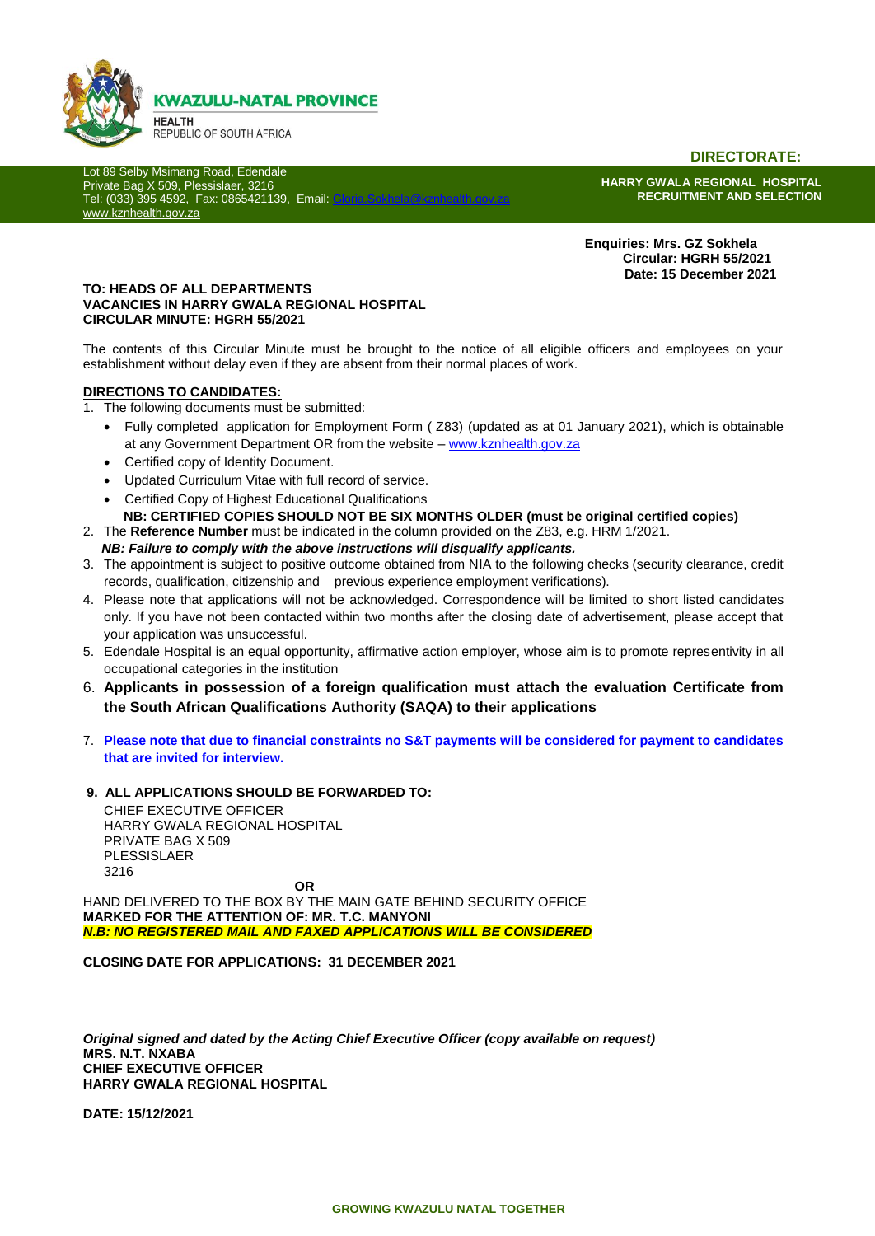

**DIRECTORATE:**

Lot 89 Selby Msimang Road, Edendale Private Bag X 509, Plessislaer, 3216 Tel: (033) 395 4592, Fax: 0865421139, Email: [www.kznhealth.gov.za](http://www.kznhealth.gov.za/)

**HARRY GWALA REGIONAL HOSPITAL RECRUITMENT AND SELECTION**

 **Enquiries: Mrs. GZ Sokhela Circular: HGRH 55/2021 Date: 15 December 2021**

#### **TO: HEADS OF ALL DEPARTMENTS VACANCIES IN HARRY GWALA REGIONAL HOSPITAL CIRCULAR MINUTE: HGRH 55/2021**

The contents of this Circular Minute must be brought to the notice of all eligible officers and employees on your establishment without delay even if they are absent from their normal places of work.

#### **DIRECTIONS TO CANDIDATES:**

- 1. The following documents must be submitted:
	- Fully completed application for Employment Form ( Z83) (updated as at 01 January 2021), which is obtainable at any Government Department OR from the website – [www.kznhealth.gov.za](http://www.kznhealth.gov.za/)
	- Certified copy of Identity Document.
	- Updated Curriculum Vitae with full record of service.
	- Certified Copy of Highest Educational Qualifications
		- **NB: CERTIFIED COPIES SHOULD NOT BE SIX MONTHS OLDER (must be original certified copies)**
- 2. The **Reference Number** must be indicated in the column provided on the Z83, e.g. HRM 1/2021.  *NB: Failure to comply with the above instructions will disqualify applicants.*
- 3. The appointment is subject to positive outcome obtained from NIA to the following checks (security clearance, credit records, qualification, citizenship and previous experience employment verifications).
- 4. Please note that applications will not be acknowledged. Correspondence will be limited to short listed candidates only. If you have not been contacted within two months after the closing date of advertisement, please accept that your application was unsuccessful.
- 5. Edendale Hospital is an equal opportunity, affirmative action employer, whose aim is to promote representivity in all occupational categories in the institution
- 6. **Applicants in possession of a foreign qualification must attach the evaluation Certificate from the South African Qualifications Authority (SAQA) to their applications**
- 7. **Please note that due to financial constraints no S&T payments will be considered for payment to candidates that are invited for interview.**
- **9. ALL APPLICATIONS SHOULD BE FORWARDED TO:**

CHIEF EXECUTIVE OFFICER HARRY GWALA REGIONAL HOSPITAL PRIVATE BAG X 509 PLESSISLAER 3216 **OR**

HAND DELIVERED TO THE BOX BY THE MAIN GATE BEHIND SECURITY OFFICE **MARKED FOR THE ATTENTION OF: MR. T.C. MANYONI** *N.B: NO REGISTERED MAIL AND FAXED APPLICATIONS WILL BE CONSIDERED*

**CLOSING DATE FOR APPLICATIONS: 31 DECEMBER 2021**

*Original signed and dated by the Acting Chief Executive Officer (copy available on request)* **MRS. N.T. NXABA CHIEF EXECUTIVE OFFICER HARRY GWALA REGIONAL HOSPITAL**

**DATE: 15/12/2021**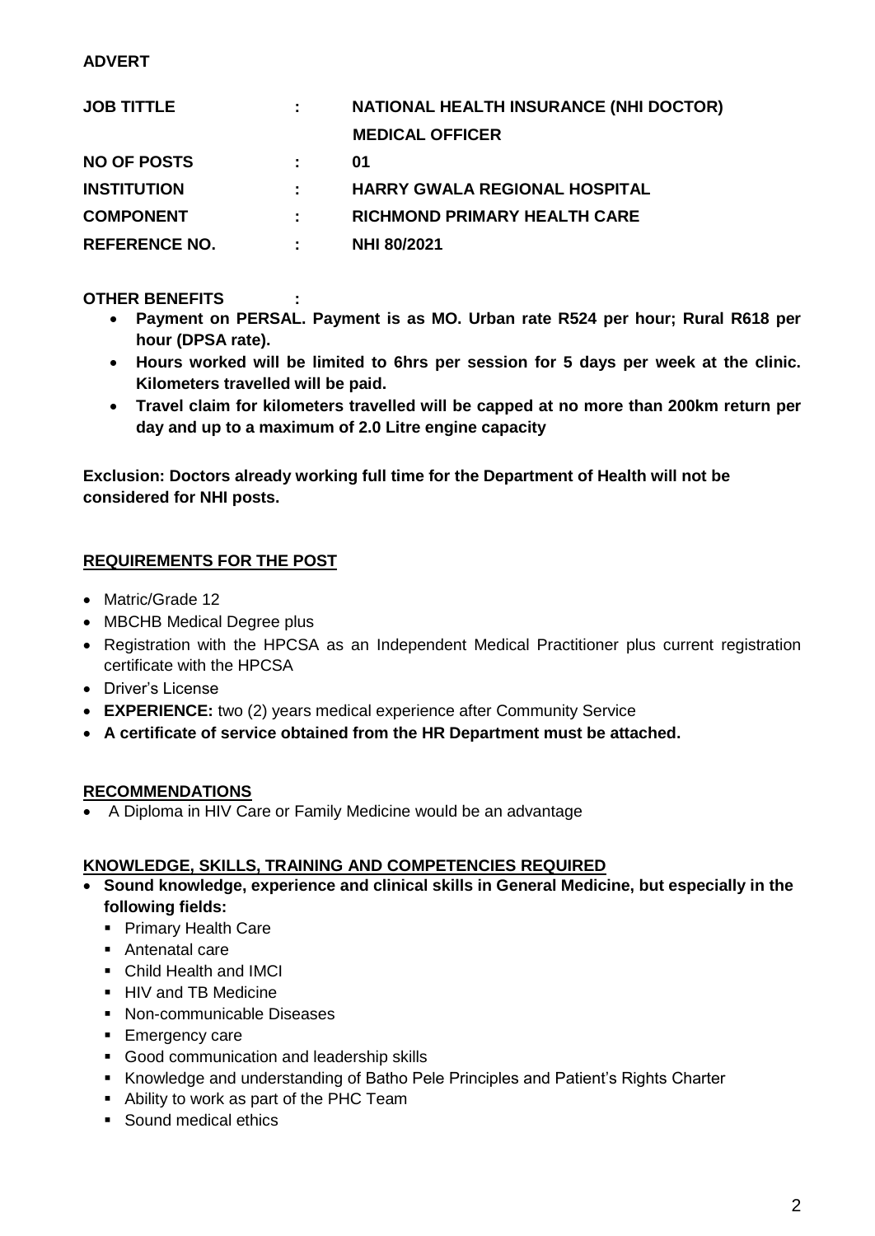# **ADVERT**

| <b>JOB TITTLE</b>    |   | <b>NATIONAL HEALTH INSURANCE (NHI DOCTOR)</b> |
|----------------------|---|-----------------------------------------------|
|                      |   | <b>MEDICAL OFFICER</b>                        |
| <b>NO OF POSTS</b>   |   | 01                                            |
| <b>INSTITUTION</b>   |   | <b>HARRY GWALA REGIONAL HOSPITAL</b>          |
| <b>COMPONENT</b>     |   | <b>RICHMOND PRIMARY HEALTH CARE</b>           |
| <b>REFERENCE NO.</b> | ÷ | <b>NHI 80/2021</b>                            |

**OTHER BENEFITS :** 

- **Payment on PERSAL. Payment is as MO. Urban rate R524 per hour; Rural R618 per hour (DPSA rate).**
- **Hours worked will be limited to 6hrs per session for 5 days per week at the clinic. Kilometers travelled will be paid.**
- **Travel claim for kilometers travelled will be capped at no more than 200km return per day and up to a maximum of 2.0 Litre engine capacity**

**Exclusion: Doctors already working full time for the Department of Health will not be considered for NHI posts.**

# **REQUIREMENTS FOR THE POST**

- Matric/Grade 12
- MBCHB Medical Degree plus
- Registration with the HPCSA as an Independent Medical Practitioner plus current registration certificate with the HPCSA
- Driver's License
- **EXPERIENCE:** two (2) years medical experience after Community Service
- **A certificate of service obtained from the HR Department must be attached.**

#### **RECOMMENDATIONS**

A Diploma in HIV Care or Family Medicine would be an advantage

#### **KNOWLEDGE, SKILLS, TRAINING AND COMPETENCIES REQUIRED**

- **Sound knowledge, experience and clinical skills in General Medicine, but especially in the following fields:**
	- **Primary Health Care**
	- **-** Antenatal care
	- Child Health and IMCI
	- **HIV and TB Medicine**
	- Non-communicable Diseases
	- **Emergency care**
	- Good communication and leadership skills
	- Knowledge and understanding of Batho Pele Principles and Patient's Rights Charter
	- Ability to work as part of the PHC Team
	- Sound medical ethics